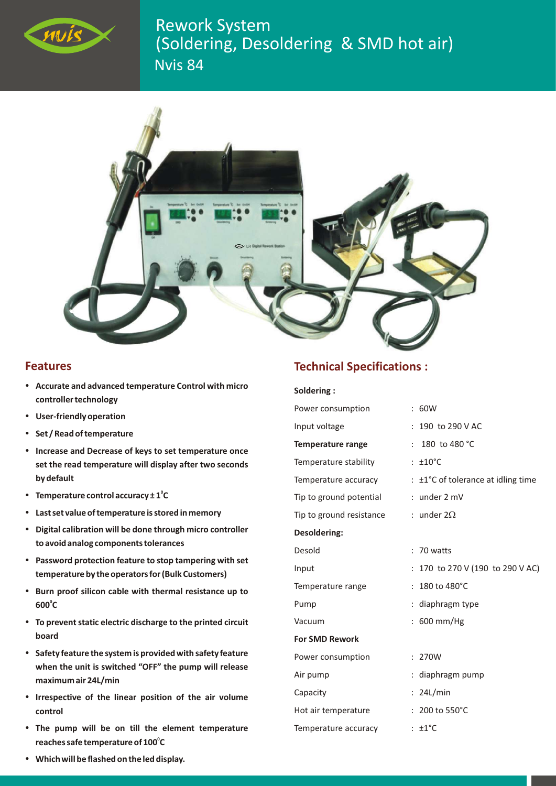

Nvis 84 Rework System (Soldering, Desoldering & SMD hot air)



## **Features**

- ?**eatures Accurate and advanced temperature Control with micro controller technology**<br>**•** User-friendly operation
- 
- **Set / Read of temperature**
- ?**Set / Read of temperature Increase and Decrease of keys to set temperature once set the read temperature will display after two seconds by default**
- Temperature control accuracy  $\pm 1^{\circ}C$
- $\cdot$  Last set value of temperature is stored in memory
- ?**Last set value of temperature is stored in memory Digital calibration will be done through micro controller**
- ?**to avoidanalog components tolerances Password protection feature to stop tampering with set**
- ?**temperature by the operators for (Bulk Customers) Burn proof silicon cable with thermal resistance up to**  600°C
- ?**<sup>600</sup> <sup>C</sup> To prevent static electric discharge to the printed circuit**
- ?**board Safety feature the system is provided with safety feature when the unit is switched "OFF" the pump will release** ?**maximum air 24L/min Irrespective of the linear position of the air volume**
- 
- ?**control The pump will be on till the element temperature**  reaches safe temperature of 100°C

## **Technical Specifications :**

## **Soldering :**

| Power consumption        | : 60W                                         |
|--------------------------|-----------------------------------------------|
| Input voltage            | : 190 to 290 V AC                             |
| <b>Temperature range</b> | 180 to 480 °C<br>÷.                           |
| Temperature stability    | $: \pm 10^{\circ}$ C                          |
| Temperature accuracy     | $\pm 1^{\circ}$ C of tolerance at idling time |
| Tip to ground potential  | $:$ under $2 \text{ mV}$                      |
| Tip to ground resistance | : under $2\Omega$                             |
| <b>Desoldering:</b>      |                                               |
| Desold                   | $: 70$ watts                                  |
| Input                    | : 170 to 270 V (190 to 290 V AC)              |
| Temperature range        | $: 180$ to 480 $^{\circ}$ C                   |
| Pump                     | : diaphragm type                              |
| Vacuum                   | : 600 mm/Hg                                   |
| <b>For SMD Rework</b>    |                                               |
| Power consumption        | : 270W                                        |
| Air pump                 | : diaphragm pump                              |
| Capacity                 | : 24L/min                                     |
| Hot air temperature      | $: 200$ to 550 $^{\circ}$ C                   |
| Temperature accuracy     | $: \pm 1^{\circ}C$                            |

?**reaches safe temperature of 100 <sup>C</sup> Which will be flashed on the led display.**